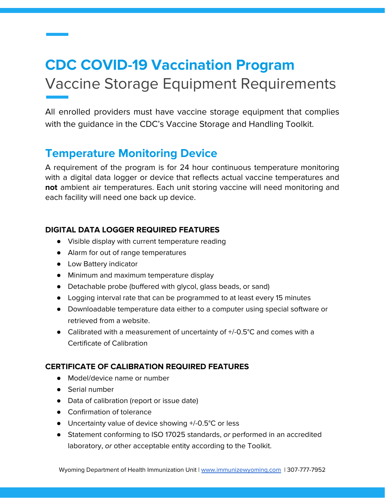# **CDC COVID-19 Vaccination Program** Vaccine Storage Equipment Requirements

All enrolled providers must have vaccine storage equipment that complies with the guidance in the CDC's Vaccine Storage and Handling Toolkit.

# **Temperature Monitoring Device**

A requirement of the program is for 24 hour continuous temperature monitoring with a digital data logger or device that reflects actual vaccine temperatures and **not** ambient air temperatures. Each unit storing vaccine will need monitoring and each facility will need one back up device.

### **DIGITAL DATA LOGGER REQUIRED FEATURES**

- Visible display with current temperature reading
- Alarm for out of range temperatures
- Low Battery indicator
- Minimum and maximum temperature display
- Detachable probe (buffered with glycol, glass beads, or sand)
- Logging interval rate that can be programmed to at least every 15 minutes
- Downloadable temperature data either to a computer using special software or retrieved from a website.
- Calibrated with a measurement of uncertainty of +/-0.5°C and comes with a Certificate of Calibration

### **CERTIFICATE OF CALIBRATION REQUIRED FEATURES**

- Model/device name or number
- Serial number
- Data of calibration (report or issue date)
- Confirmation of tolerance
- Uncertainty value of device showing +/-0.5°C or less
- Statement conforming to ISO 17025 standards, or performed in an accredited laboratory, or other acceptable entity according to the Toolkit.